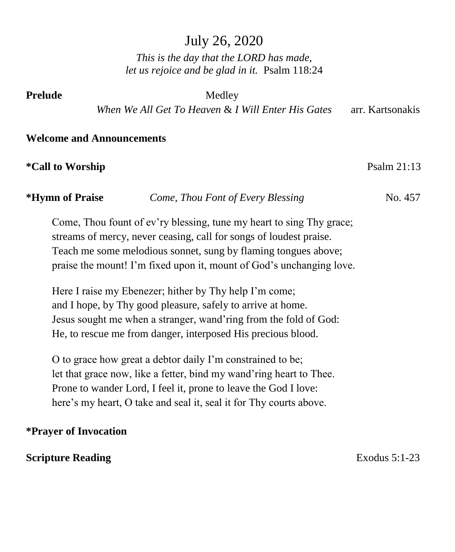# July 26, 2020

*This is the day that the LORD has made, let us rejoice and be glad in it.* Psalm 118:24

**Prelude** Medley

 *When We All Get To Heaven* & *I Will Enter His Gates* arr. Kartsonakis

#### **Welcome and Announcements**

#### **\*Call to Worship**  Psalm 21:13

**\*Hymn of Praise** *Come, Thou Font of Every Blessing*No. 457

Come, Thou fount of ev'ry blessing, tune my heart to sing Thy grace; streams of mercy, never ceasing, call for songs of loudest praise. Teach me some melodious sonnet, sung by flaming tongues above; praise the mount! I'm fixed upon it, mount of God's unchanging love.

Here I raise my Ebenezer; hither by Thy help I'm come; and I hope, by Thy good pleasure, safely to arrive at home. Jesus sought me when a stranger, wand'ring from the fold of God: He, to rescue me from danger, interposed His precious blood.

O to grace how great a debtor daily I'm constrained to be; let that grace now, like a fetter, bind my wand'ring heart to Thee. Prone to wander Lord, I feel it, prone to leave the God I love: here's my heart, O take and seal it, seal it for Thy courts above.

#### **\*Prayer of Invocation**

#### **Scripture Reading** Exodus 5:1-23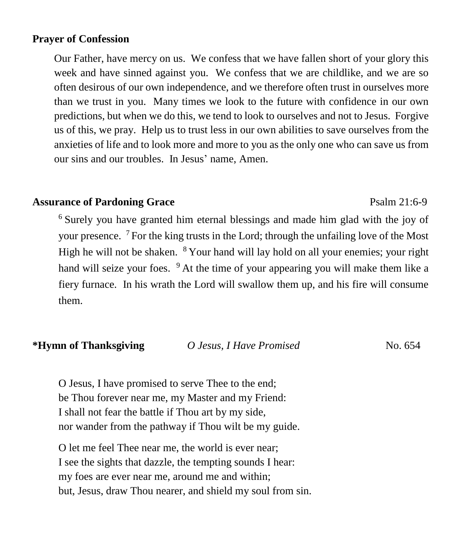#### **Prayer of Confession**

Our Father, have mercy on us. We confess that we have fallen short of your glory this week and have sinned against you. We confess that we are childlike, and we are so often desirous of our own independence, and we therefore often trust in ourselves more than we trust in you. Many times we look to the future with confidence in our own predictions, but when we do this, we tend to look to ourselves and not to Jesus. Forgive us of this, we pray. Help us to trust less in our own abilities to save ourselves from the anxieties of life and to look more and more to you as the only one who can save us from our sins and our troubles. In Jesus' name, Amen.

#### Assurance of Pardoning Grace **Particle 12:6-9** Psalm 21:6-9

<sup>6</sup> Surely you have granted him eternal blessings and made him glad with the joy of your presence. <sup>7</sup>For the king trusts in the Lord; through the unfailing love of the Most High he will not be shaken.  $8$  Your hand will lay hold on all your enemies; your right hand will seize your foes.  $9$  At the time of your appearing you will make them like a fiery furnace. In his wrath the Lord will swallow them up, and his fire will consume them.

| *Hymn of Thanksgiving | O Jesus, I Have Promised | No. 654 |
|-----------------------|--------------------------|---------|
|-----------------------|--------------------------|---------|

O Jesus, I have promised to serve Thee to the end; be Thou forever near me, my Master and my Friend: I shall not fear the battle if Thou art by my side, nor wander from the pathway if Thou wilt be my guide.

O let me feel Thee near me, the world is ever near; I see the sights that dazzle, the tempting sounds I hear: my foes are ever near me, around me and within; but, Jesus, draw Thou nearer, and shield my soul from sin.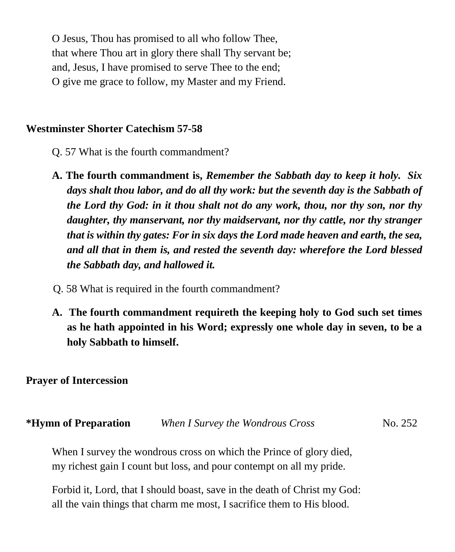O Jesus, Thou has promised to all who follow Thee, that where Thou art in glory there shall Thy servant be; and, Jesus, I have promised to serve Thee to the end; O give me grace to follow, my Master and my Friend.

#### **Westminster Shorter Catechism 57-58**

- Q. 57 What is the fourth commandment?
- **A. The fourth commandment is,** *Remember the Sabbath day to keep it holy. Six days shalt thou labor, and do all thy work: but the seventh day is the Sabbath of the Lord thy God: in it thou shalt not do any work, thou, nor thy son, nor thy daughter, thy manservant, nor thy maidservant, nor thy cattle, nor thy stranger that is within thy gates: For in six days the Lord made heaven and earth, the sea, and all that in them is, and rested the seventh day: wherefore the Lord blessed the Sabbath day, and hallowed it.*
- Q. 58 What is required in the fourth commandment?
- **A. The fourth commandment requireth the keeping holy to God such set times as he hath appointed in his Word; expressly one whole day in seven, to be a holy Sabbath to himself.**

#### **Prayer of Intercession**

| *Hymn of Preparation | When I Survey the Wondrous Cross | No. 252 |
|----------------------|----------------------------------|---------|
|----------------------|----------------------------------|---------|

When I survey the wondrous cross on which the Prince of glory died, my richest gain I count but loss, and pour contempt on all my pride.

Forbid it, Lord, that I should boast, save in the death of Christ my God: all the vain things that charm me most, I sacrifice them to His blood.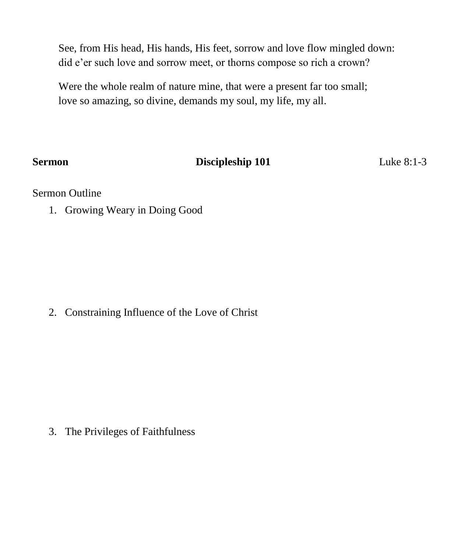See, from His head, His hands, His feet, sorrow and love flow mingled down: did e'er such love and sorrow meet, or thorns compose so rich a crown?

Were the whole realm of nature mine, that were a present far too small; love so amazing, so divine, demands my soul, my life, my all.

## **Sermon Discipleship 101** Luke 8:1-3

#### Sermon Outline

1. Growing Weary in Doing Good

2. Constraining Influence of the Love of Christ

3. The Privileges of Faithfulness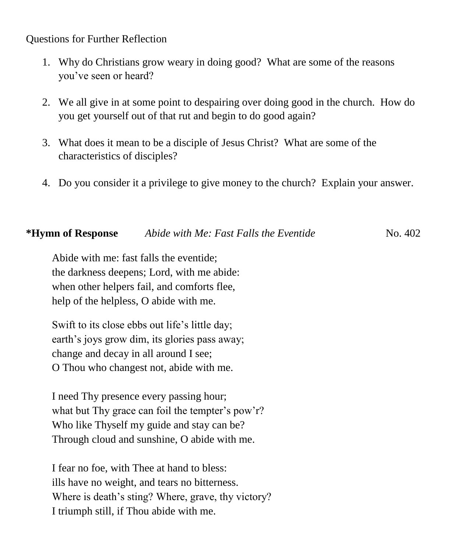#### Questions for Further Reflection

- 1. Why do Christians grow weary in doing good? What are some of the reasons you've seen or heard?
- 2. We all give in at some point to despairing over doing good in the church. How do you get yourself out of that rut and begin to do good again?
- 3. What does it mean to be a disciple of Jesus Christ? What are some of the characteristics of disciples?
- 4. Do you consider it a privilege to give money to the church? Explain your answer.

#### **\*Hymn of Response** *Abide with Me: Fast Falls the Eventide*No. 402

Abide with me: fast falls the eventide; the darkness deepens; Lord, with me abide: when other helpers fail, and comforts flee, help of the helpless, O abide with me.

Swift to its close ebbs out life's little day; earth's joys grow dim, its glories pass away; change and decay in all around I see; O Thou who changest not, abide with me.

I need Thy presence every passing hour; what but Thy grace can foil the tempter's pow'r? Who like Thyself my guide and stay can be? Through cloud and sunshine, O abide with me.

I fear no foe, with Thee at hand to bless: ills have no weight, and tears no bitterness. Where is death's sting? Where, grave, thy victory? I triumph still, if Thou abide with me.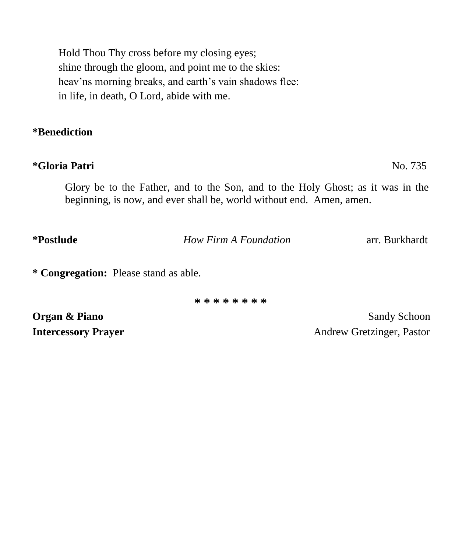Hold Thou Thy cross before my closing eyes; shine through the gloom, and point me to the skies: heav'ns morning breaks, and earth's vain shadows flee: in life, in death, O Lord, abide with me.

#### **\*Benediction**

### **\*Gloria Patri** No. 735

Glory be to the Father, and to the Son, and to the Holy Ghost; as it was in the beginning, is now, and ever shall be, world without end. Amen, amen.

**\*Postlude** *How Firm A Foundation* arr. Burkhardt

**\* Congregation:** Please stand as able.

**\* \* \* \* \* \* \* \***

**Organ & Piano** Sandy Schoon

**Intercessory Prayer** Andrew Gretzinger, Pastor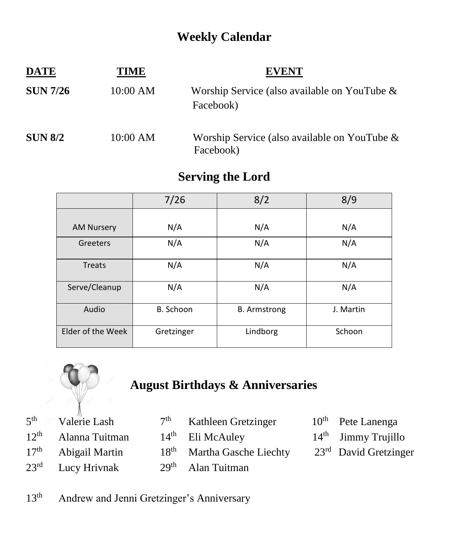# **Weekly Calendar**

| <b>DATE</b>     | TIME     | <b>EVENT</b>                                                 |
|-----------------|----------|--------------------------------------------------------------|
| <b>SUN 7/26</b> | 10:00 AM | Worship Service (also available on YouTube $\&$<br>Facebook) |
| <b>SUN 8/2</b>  | 10:00 AM | Worship Service (also available on YouTube $\&$<br>Facebook) |

## **Serving the Lord**

|                   | 7/26       | 8/2                 | 8/9       |
|-------------------|------------|---------------------|-----------|
|                   |            |                     |           |
| <b>AM Nursery</b> | N/A        | N/A                 | N/A       |
| Greeters          | N/A        | N/A                 | N/A       |
| <b>Treats</b>     | N/A        | N/A                 | N/A       |
| Serve/Cleanup     | N/A        | N/A                 | N/A       |
| Audio             | B. Schoon  | <b>B.</b> Armstrong | J. Martin |
| Elder of the Week | Gretzinger | Lindborg            | Schoon    |



# **August Birthdays & Anniversaries**

| $5th$ Valerie Lash    | 7 <sup>th</sup> Kathleen Gretzinger    | $10th$ Pete Lanenga               |
|-----------------------|----------------------------------------|-----------------------------------|
| $12th$ Alanna Tuitman | $14th$ Eli McAuley                     | $14th$ Jimmy Trujillo             |
| $17th$ Abigail Martin | 18 <sup>th</sup> Martha Gasche Liechty | 23 <sup>rd</sup> David Gretzinger |
| $23rd$ Lucy Hrivnak   | $29th$ Alan Tuitman                    |                                   |

13<sup>th</sup> Andrew and Jenni Gretzinger's Anniversary